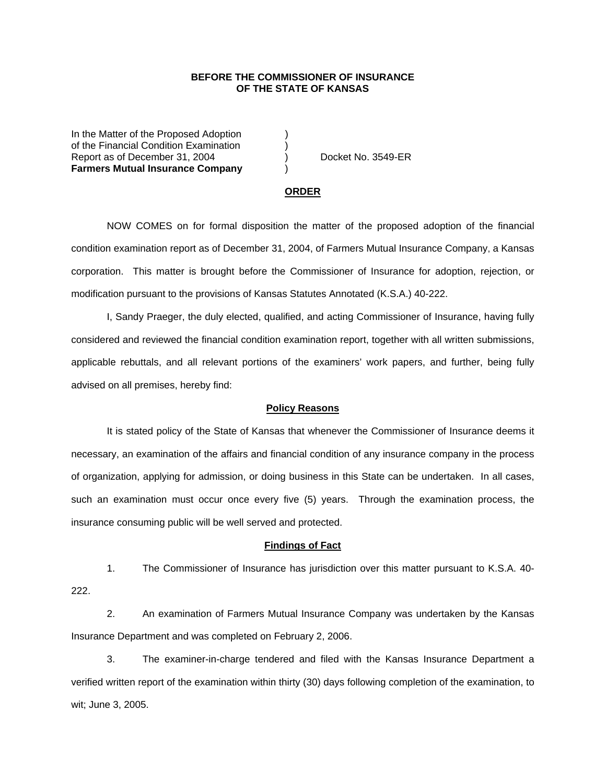## **BEFORE THE COMMISSIONER OF INSURANCE OF THE STATE OF KANSAS**

In the Matter of the Proposed Adoption of the Financial Condition Examination ) Report as of December 31, 2004 (a) Docket No. 3549-ER **Farmers Mutual Insurance Company** )

#### **ORDER**

 NOW COMES on for formal disposition the matter of the proposed adoption of the financial condition examination report as of December 31, 2004, of Farmers Mutual Insurance Company, a Kansas corporation. This matter is brought before the Commissioner of Insurance for adoption, rejection, or modification pursuant to the provisions of Kansas Statutes Annotated (K.S.A.) 40-222.

 I, Sandy Praeger, the duly elected, qualified, and acting Commissioner of Insurance, having fully considered and reviewed the financial condition examination report, together with all written submissions, applicable rebuttals, and all relevant portions of the examiners' work papers, and further, being fully advised on all premises, hereby find:

### **Policy Reasons**

 It is stated policy of the State of Kansas that whenever the Commissioner of Insurance deems it necessary, an examination of the affairs and financial condition of any insurance company in the process of organization, applying for admission, or doing business in this State can be undertaken. In all cases, such an examination must occur once every five (5) years. Through the examination process, the insurance consuming public will be well served and protected.

#### **Findings of Fact**

 1. The Commissioner of Insurance has jurisdiction over this matter pursuant to K.S.A. 40- 222.

 2. An examination of Farmers Mutual Insurance Company was undertaken by the Kansas Insurance Department and was completed on February 2, 2006.

 3. The examiner-in-charge tendered and filed with the Kansas Insurance Department a verified written report of the examination within thirty (30) days following completion of the examination, to wit; June 3, 2005.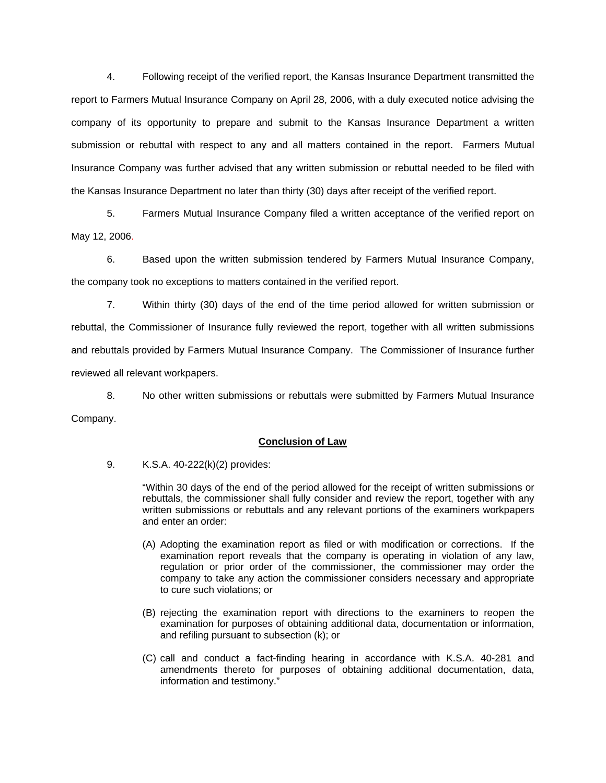4. Following receipt of the verified report, the Kansas Insurance Department transmitted the report to Farmers Mutual Insurance Company on April 28, 2006, with a duly executed notice advising the company of its opportunity to prepare and submit to the Kansas Insurance Department a written submission or rebuttal with respect to any and all matters contained in the report. Farmers Mutual Insurance Company was further advised that any written submission or rebuttal needed to be filed with the Kansas Insurance Department no later than thirty (30) days after receipt of the verified report.

 5. Farmers Mutual Insurance Company filed a written acceptance of the verified report on May 12, 2006.

6. Based upon the written submission tendered by Farmers Mutual Insurance Company, the company took no exceptions to matters contained in the verified report.

 7. Within thirty (30) days of the end of the time period allowed for written submission or rebuttal, the Commissioner of Insurance fully reviewed the report, together with all written submissions and rebuttals provided by Farmers Mutual Insurance Company. The Commissioner of Insurance further reviewed all relevant workpapers.

 8. No other written submissions or rebuttals were submitted by Farmers Mutual Insurance Company.

## **Conclusion of Law**

9. K.S.A. 40-222(k)(2) provides:

"Within 30 days of the end of the period allowed for the receipt of written submissions or rebuttals, the commissioner shall fully consider and review the report, together with any written submissions or rebuttals and any relevant portions of the examiners workpapers and enter an order:

- (A) Adopting the examination report as filed or with modification or corrections. If the examination report reveals that the company is operating in violation of any law, regulation or prior order of the commissioner, the commissioner may order the company to take any action the commissioner considers necessary and appropriate to cure such violations; or
- (B) rejecting the examination report with directions to the examiners to reopen the examination for purposes of obtaining additional data, documentation or information, and refiling pursuant to subsection (k); or
- (C) call and conduct a fact-finding hearing in accordance with K.S.A. 40-281 and amendments thereto for purposes of obtaining additional documentation, data, information and testimony."